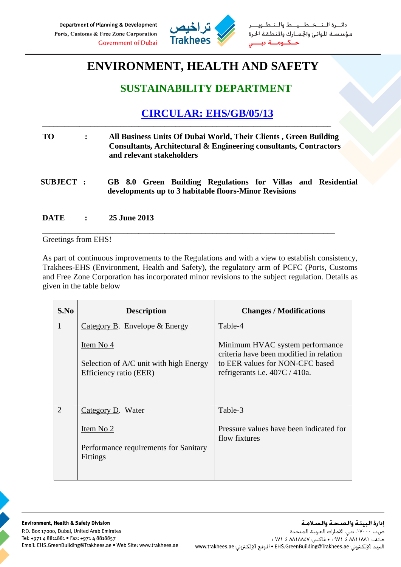

خطيط والت دائبرة البت مؤسسة الموانئ والجمارك والمنطقة الحرة  $\leq$ 

## **ENVIRONMENT, HEALTH AND SAFETY**

## **SUSTAINABILITY DEPARTMENT**

## **CIRCULAR: EHS/GB/05/13**

| <b>TO</b>        | All Business Units Of Dubai World, Their Clients, Green Building<br>Consultants, Architectural & Engineering consultants, Contractors<br>and relevant stakeholders |  |
|------------------|--------------------------------------------------------------------------------------------------------------------------------------------------------------------|--|
| <b>SUBJECT :</b> | GB 8.0 Green Building Regulations for Villas and Residential<br>developments up to 3 habitable floors-Minor Revisions                                              |  |

\_\_\_\_\_\_\_\_\_\_\_\_\_\_\_\_\_\_\_\_\_\_\_\_\_\_\_\_\_\_\_\_\_\_\_\_\_\_\_\_\_\_\_\_\_\_\_\_\_\_\_\_\_\_\_\_\_\_\_\_\_\_\_\_\_\_\_\_\_\_\_\_\_\_\_\_\_\_\_

\_\_\_\_\_\_\_\_\_\_\_\_\_\_\_\_\_\_\_\_\_\_\_\_\_\_\_\_\_\_\_\_\_\_\_\_\_\_\_\_\_\_\_\_\_\_\_\_\_\_\_\_\_\_\_\_\_\_\_\_\_\_\_\_\_\_\_\_\_\_\_\_\_\_\_\_\_\_

**DATE : 25 June 2013** 

Greetings from EHS!

As part of continuous improvements to the Regulations and with a view to establish consistency, Trakhees-EHS (Environment, Health and Safety), the regulatory arm of PCFC (Ports, Customs and Free Zone Corporation has incorporated minor revisions to the subject regulation. Details as given in the table below

| S.No           | <b>Description</b>                                               | <b>Changes / Modifications</b>                                             |
|----------------|------------------------------------------------------------------|----------------------------------------------------------------------------|
| $\mathbf{1}$   | Category B. Envelope $&$ Energy                                  | Table-4                                                                    |
|                | Item No 4                                                        | Minimum HVAC system performance<br>criteria have been modified in relation |
|                | Selection of A/C unit with high Energy<br>Efficiency ratio (EER) | to EER values for NON-CFC based<br>refrigerants i.e. $407C / 410a$ .       |
| $\overline{2}$ | Category D. Water                                                | Table-3                                                                    |
|                | Item No 2                                                        | Pressure values have been indicated for<br>flow fixtures                   |
|                | Performance requirements for Sanitary<br><b>Fittings</b>         |                                                                            |
|                |                                                                  |                                                                            |